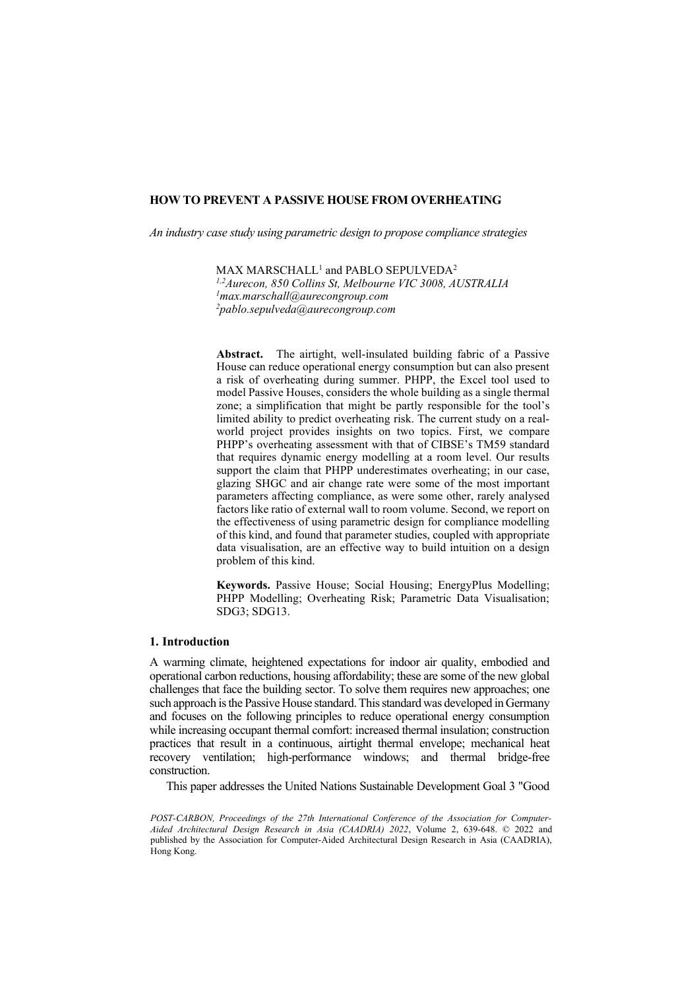*An industry case study using parametric design to propose compliance strategies*

 $MAX$  MARSCHALL<sup>1</sup> and PABLO SEPULVEDA<sup>2</sup> *1,2Aurecon, 850 Collins St, Melbourne VIC 3008, AUSTRALIA 1 [max.marschall@aurecongroup.com](mailto:1max.marschall@aurecongroup.com)  2 pablo.sepulveda@aurecongroup.com* 

**Abstract.** The airtight, well-insulated building fabric of a Passive House can reduce operational energy consumption but can also present a risk of overheating during summer. PHPP, the Excel tool used to model Passive Houses, considers the whole building as a single thermal zone; a simplification that might be partly responsible for the tool's limited ability to predict overheating risk. The current study on a realworld project provides insights on two topics. First, we compare PHPP's overheating assessment with that of CIBSE's TM59 standard that requires dynamic energy modelling at a room level. Our results support the claim that PHPP underestimates overheating; in our case, glazing SHGC and air change rate were some of the most important parameters affecting compliance, as were some other, rarely analysed factors like ratio of external wall to room volume. Second, we report on the effectiveness of using parametric design for compliance modelling of this kind, and found that parameter studies, coupled with appropriate data visualisation, are an effective way to build intuition on a design problem of this kind.

**Keywords.** Passive House; Social Housing; EnergyPlus Modelling; PHPP Modelling; Overheating Risk; Parametric Data Visualisation; SDG3; SDG13.

### **1. Introduction**

A warming climate, heightened expectations for indoor air quality, embodied and operational carbon reductions, housing affordability; these are some of the new global challenges that face the building sector. To solve them requires new approaches; one such approach is the Passive House standard. This standard was developed in Germany and focuses on the following principles to reduce operational energy consumption while increasing occupant thermal comfort: increased thermal insulation; construction practices that result in a continuous, airtight thermal envelope; mechanical heat recovery ventilation; high-performance windows; and thermal bridge-free construction.

This paper addresses the United Nations Sustainable Development Goal 3 "Good

*POST-CARBON, Proceedings of the 27th International Conference of the Association for Computer-Aided Architectural Design Research in Asia (CAADRIA) 2022*, Volume 2, 639-648. © 2022 and published by the Association for Computer-Aided Architectural Design Research in Asia (CAADRIA), Hong Kong.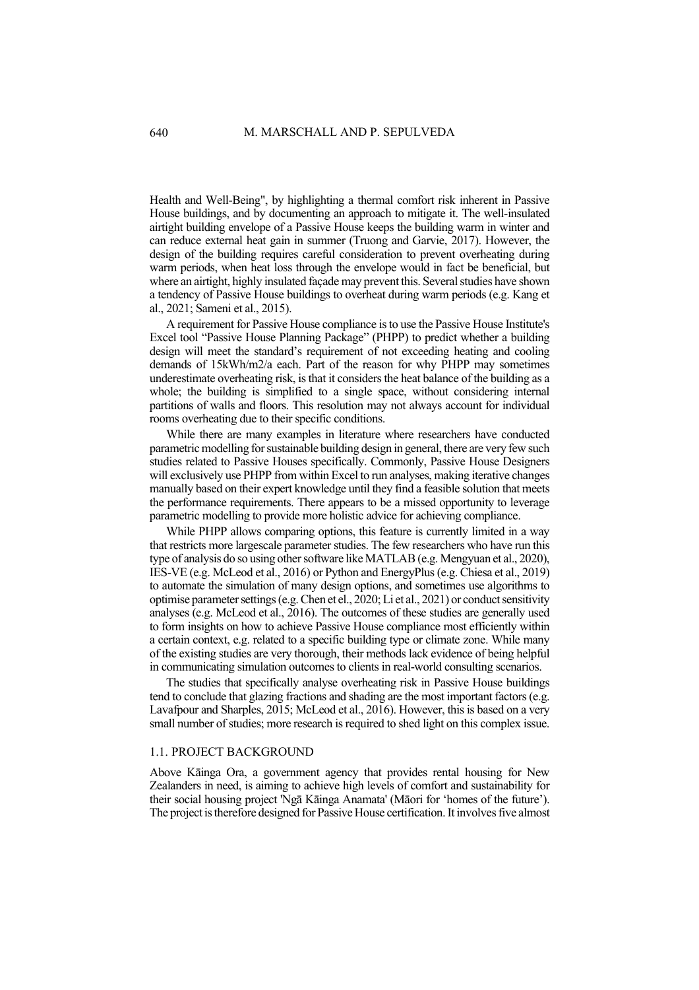Health and Well-Being", by highlighting a thermal comfort risk inherent in Passive House buildings, and by documenting an approach to mitigate it. The well-insulated airtight building envelope of a Passive House keeps the building warm in winter and can reduce external heat gain in summer (Truong and Garvie, 2017). However, the design of the building requires careful consideration to prevent overheating during warm periods, when heat loss through the envelope would in fact be beneficial, but where an airtight, highly insulated façade may prevent this. Several studies have shown a tendency of Passive House buildings to overheat during warm periods (e.g. Kang et al., 2021; Sameni et al., 2015).

A requirement for Passive House compliance is to use the Passive House Institute's Excel tool "Passive House Planning Package" (PHPP) to predict whether a building design will meet the standard's requirement of not exceeding heating and cooling demands of 15kWh/m2/a each. Part of the reason for why PHPP may sometimes underestimate overheating risk, is that it considers the heat balance of the building as a whole; the building is simplified to a single space, without considering internal partitions of walls and floors. This resolution may not always account for individual rooms overheating due to their specific conditions.

While there are many examples in literature where researchers have conducted parametric modelling for sustainable building design in general, there are very few such studies related to Passive Houses specifically. Commonly, Passive House Designers will exclusively use PHPP from within Excel to run analyses, making iterative changes manually based on their expert knowledge until they find a feasible solution that meets the performance requirements. There appears to be a missed opportunity to leverage parametric modelling to provide more holistic advice for achieving compliance.

While PHPP allows comparing options, this feature is currently limited in a way that restricts more largescale parameter studies. The few researchers who have run this type of analysis do so using other software like MATLAB (e.g. Mengyuan et al., 2020), IES-VE (e.g. McLeod et al., 2016) or Python and EnergyPlus (e.g. Chiesa et al., 2019) to automate the simulation of many design options, and sometimes use algorithms to optimise parameter settings (e.g. Chen et el., 2020; Li et al., 2021) or conduct sensitivity analyses (e.g. McLeod et al., 2016). The outcomes of these studies are generally used to form insights on how to achieve Passive House compliance most efficiently within a certain context, e.g. related to a specific building type or climate zone. While many of the existing studies are very thorough, their methods lack evidence of being helpful in communicating simulation outcomes to clients in real-world consulting scenarios.

The studies that specifically analyse overheating risk in Passive House buildings tend to conclude that glazing fractions and shading are the most important factors (e.g. Lavafpour and Sharples, 2015; McLeod et al., 2016). However, this is based on a very small number of studies; more research is required to shed light on this complex issue.

### 1.1. PROJECT BACKGROUND

Above Kāinga Ora, a government agency that provides rental housing for New Zealanders in need, is aiming to achieve high levels of comfort and sustainability for their social housing project 'Ngā Kāinga Anamata' (Māori for 'homes of the future'). The project is therefore designed for Passive House certification. It involves five almost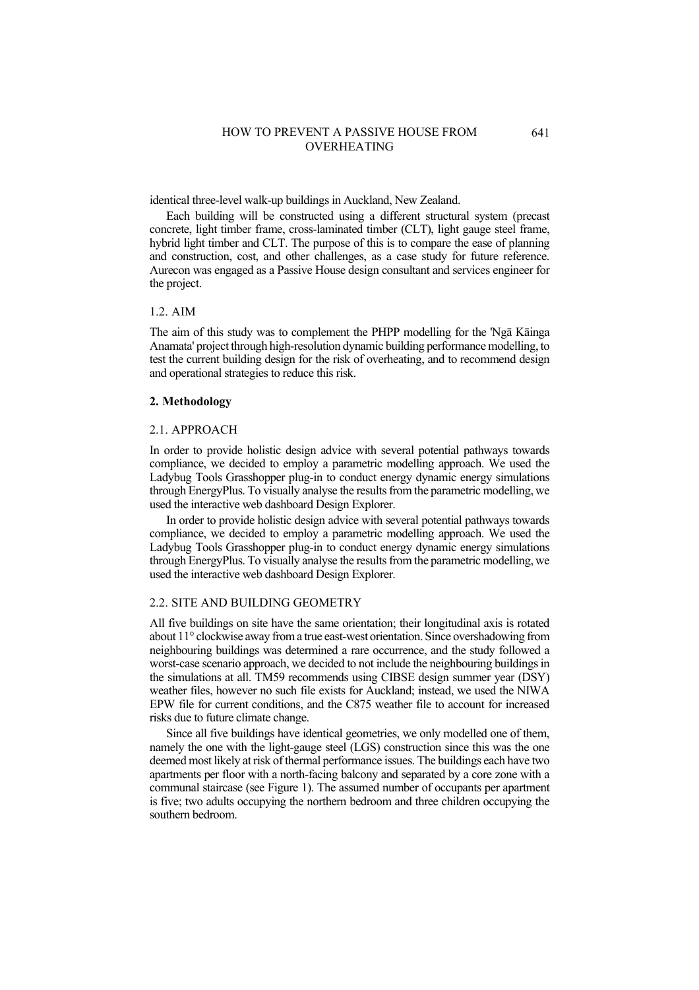identical three-level walk-up buildings in Auckland, New Zealand.

Each building will be constructed using a different structural system (precast concrete, light timber frame, cross-laminated timber (CLT), light gauge steel frame, hybrid light timber and CLT. The purpose of this is to compare the ease of planning and construction, cost, and other challenges, as a case study for future reference. Aurecon was engaged as a Passive House design consultant and services engineer for the project.

### 1.2. AIM

The aim of this study was to complement the PHPP modelling for the 'Ngā Kāinga Anamata' project through high-resolution dynamic building performance modelling, to test the current building design for the risk of overheating, and to recommend design and operational strategies to reduce this risk.

#### **2. Methodology**

#### 2.1. APPROACH

In order to provide holistic design advice with several potential pathways towards compliance, we decided to employ a parametric modelling approach. We used the Ladybug Tools Grasshopper plug-in to conduct energy dynamic energy simulations through EnergyPlus. To visually analyse the results from the parametric modelling, we used the interactive web dashboard Design Explorer.

In order to provide holistic design advice with several potential pathways towards compliance, we decided to employ a parametric modelling approach. We used the Ladybug Tools Grasshopper plug-in to conduct energy dynamic energy simulations through EnergyPlus. To visually analyse the results from the parametric modelling, we used the interactive web dashboard Design Explorer.

# 2.2. SITE AND BUILDING GEOMETRY

All five buildings on site have the same orientation; their longitudinal axis is rotated about 11° clockwise away from a true east-west orientation. Since overshadowing from neighbouring buildings was determined a rare occurrence, and the study followed a worst-case scenario approach, we decided to not include the neighbouring buildings in the simulations at all. TM59 recommends using CIBSE design summer year (DSY) weather files, however no such file exists for Auckland; instead, we used the NIWA EPW file for current conditions, and the C875 weather file to account for increased risks due to future climate change.

Since all five buildings have identical geometries, we only modelled one of them, namely the one with the light-gauge steel (LGS) construction since this was the one deemed most likely at risk of thermal performance issues. The buildings each have two apartments per floor with a north-facing balcony and separated by a core zone with a communal staircase (see Figure 1). The assumed number of occupants per apartment is five; two adults occupying the northern bedroom and three children occupying the southern bedroom.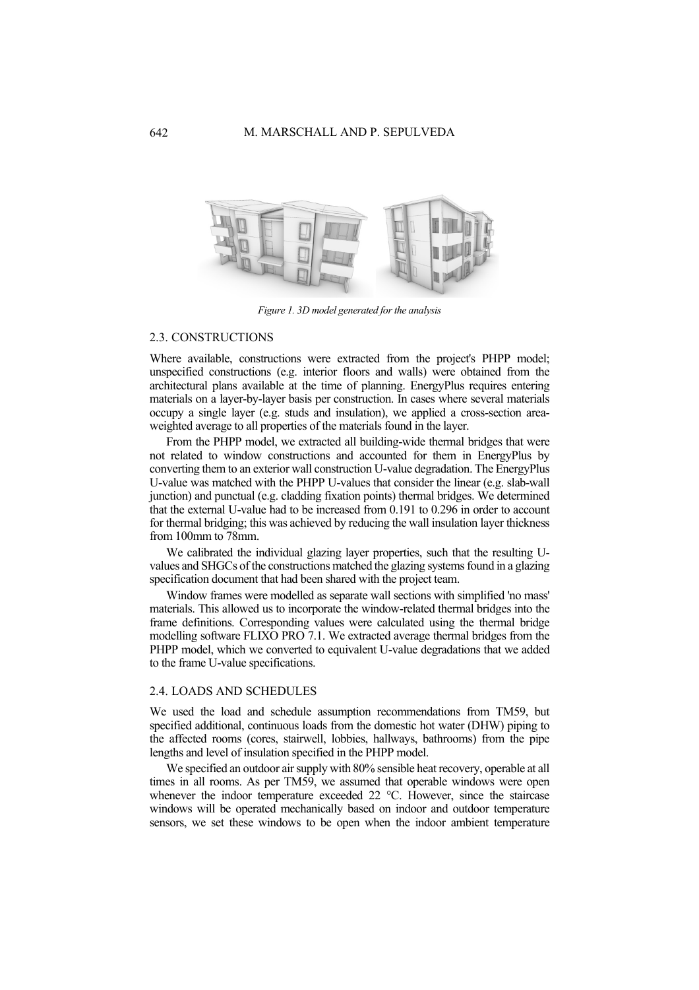

*Figure 1. 3D model generated for the analysis*

#### 2.3. CONSTRUCTIONS

Where available, constructions were extracted from the project's PHPP model; unspecified constructions (e.g. interior floors and walls) were obtained from the architectural plans available at the time of planning. EnergyPlus requires entering materials on a layer-by-layer basis per construction. In cases where several materials occupy a single layer (e.g. studs and insulation), we applied a cross-section areaweighted average to all properties of the materials found in the layer.

From the PHPP model, we extracted all building-wide thermal bridges that were not related to window constructions and accounted for them in EnergyPlus by converting them to an exterior wall construction U-value degradation. The EnergyPlus U-value was matched with the PHPP U-values that consider the linear (e.g. slab-wall junction) and punctual (e.g. cladding fixation points) thermal bridges. We determined that the external U-value had to be increased from 0.191 to 0.296 in order to account for thermal bridging; this was achieved by reducing the wall insulation layer thickness from 100mm to 78mm.

We calibrated the individual glazing layer properties, such that the resulting Uvalues and SHGCs of the constructions matched the glazing systems found in a glazing specification document that had been shared with the project team.

Window frames were modelled as separate wall sections with simplified 'no mass' materials. This allowed us to incorporate the window-related thermal bridges into the frame definitions. Corresponding values were calculated using the thermal bridge modelling software FLIXO PRO 7.1. We extracted average thermal bridges from the PHPP model, which we converted to equivalent U-value degradations that we added to the frame U-value specifications.

### 2.4. LOADS AND SCHEDULES

We used the load and schedule assumption recommendations from TM59, but specified additional, continuous loads from the domestic hot water (DHW) piping to the affected rooms (cores, stairwell, lobbies, hallways, bathrooms) from the pipe lengths and level of insulation specified in the PHPP model.

We specified an outdoor air supply with 80% sensible heat recovery, operable at all times in all rooms. As per TM59, we assumed that operable windows were open whenever the indoor temperature exceeded 22 °C. However, since the staircase windows will be operated mechanically based on indoor and outdoor temperature sensors, we set these windows to be open when the indoor ambient temperature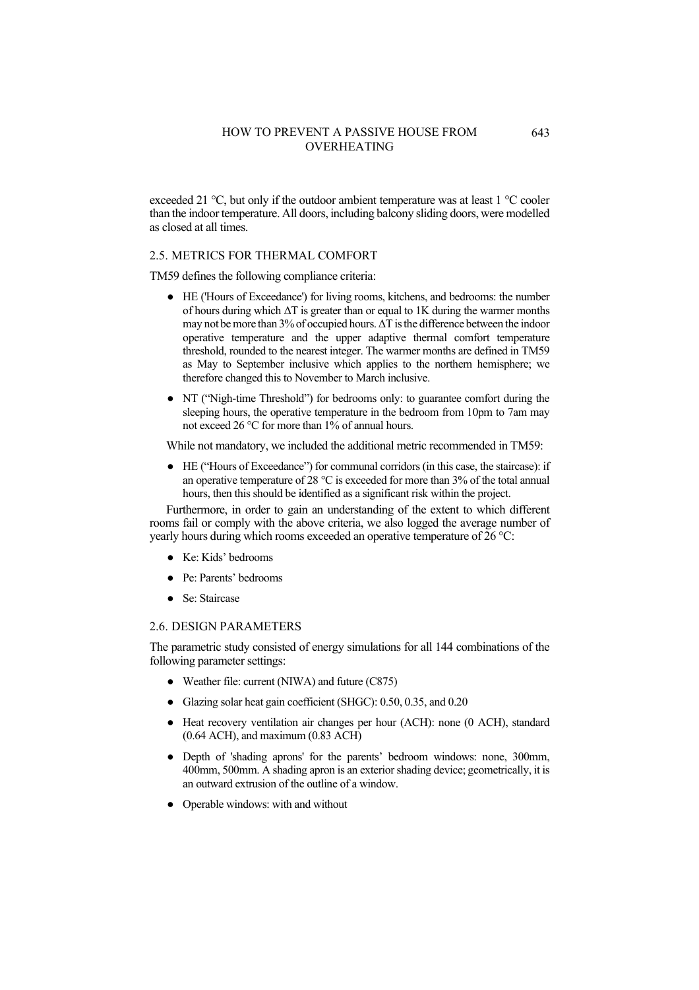exceeded 21 °C, but only if the outdoor ambient temperature was at least 1 °C cooler than the indoor temperature. All doors, including balcony sliding doors, were modelled as closed at all times.

### 2.5. METRICS FOR THERMAL COMFORT

TM59 defines the following compliance criteria:

- HE ('Hours of Exceedance') for living rooms, kitchens, and bedrooms: the number of hours during which  $\Delta T$  is greater than or equal to 1K during the warmer months may not be more than 3% of occupied hours. ΔT is the difference between the indoor operative temperature and the upper adaptive thermal comfort temperature threshold, rounded to the nearest integer. The warmer months are defined in TM59 as May to September inclusive which applies to the northern hemisphere; we therefore changed this to November to March inclusive.
- NT ("Nigh-time Threshold") for bedrooms only: to guarantee comfort during the sleeping hours, the operative temperature in the bedroom from 10pm to 7am may not exceed 26 °C for more than 1% of annual hours.

While not mandatory, we included the additional metric recommended in TM59:

● HE ("Hours of Exceedance") for communal corridors (in this case, the staircase): if an operative temperature of 28 °C is exceeded for more than 3% of the total annual hours, then this should be identified as a significant risk within the project.

Furthermore, in order to gain an understanding of the extent to which different rooms fail or comply with the above criteria, we also logged the average number of yearly hours during which rooms exceeded an operative temperature of  $26^{\circ}$ C:

- Ke: Kids' bedrooms
- Pe: Parents' bedrooms
- Se: Staircase

### 2.6. DESIGN PARAMETERS

The parametric study consisted of energy simulations for all 144 combinations of the following parameter settings:

- Weather file: current (NIWA) and future (C875)
- Glazing solar heat gain coefficient (SHGC): 0.50, 0.35, and 0.20
- Heat recovery ventilation air changes per hour (ACH): none (0 ACH), standard (0.64 ACH), and maximum (0.83 ACH)
- Depth of 'shading aprons' for the parents' bedroom windows: none, 300mm, 400mm, 500mm. A shading apron is an exterior shading device; geometrically, it is an outward extrusion of the outline of a window.
- Operable windows: with and without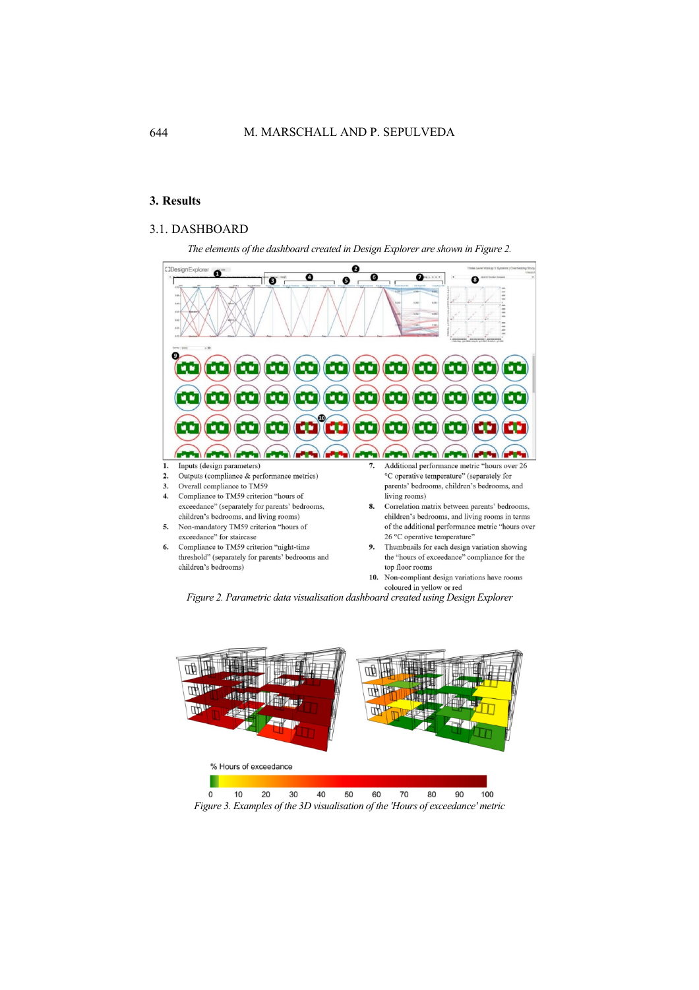# **3. Results**

# 3.1. DASHBOARD

*The elements of the dashboard created in Design Explorer are shown in Figure 2.* 



*Figure 2. Parametric data visualisation dashboard created using Design Explorer*



*Figure 3. Examples of the 3D visualisation of the 'Hours of exceedance' metric*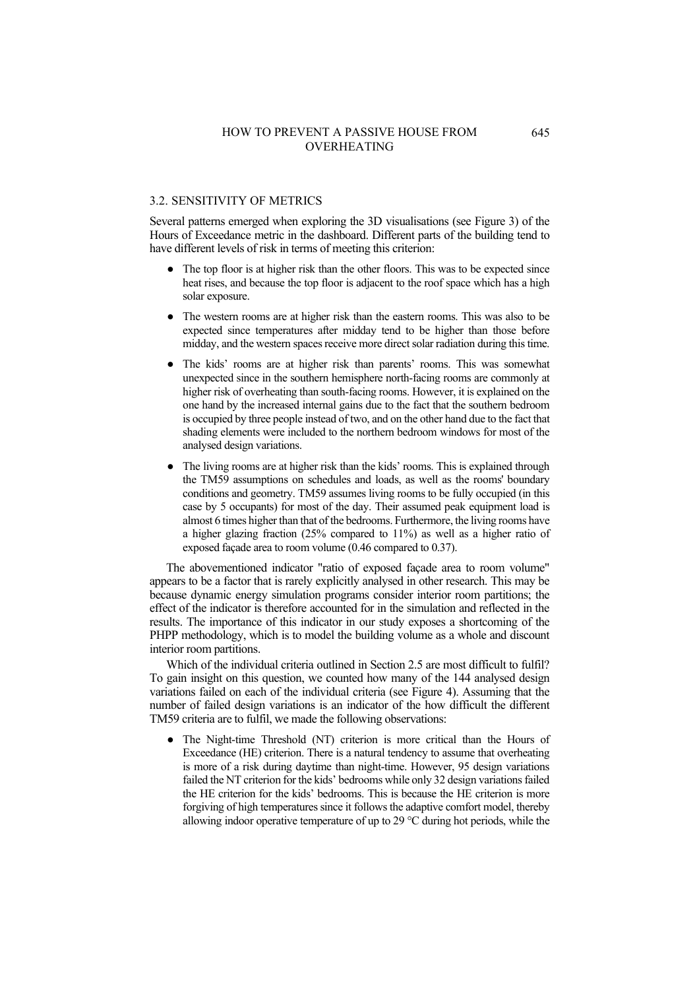### 3.2. SENSITIVITY OF METRICS

Several patterns emerged when exploring the 3D visualisations (see Figure 3) of the Hours of Exceedance metric in the dashboard. Different parts of the building tend to have different levels of risk in terms of meeting this criterion:

- The top floor is at higher risk than the other floors. This was to be expected since heat rises, and because the top floor is adjacent to the roof space which has a high solar exposure.
- The western rooms are at higher risk than the eastern rooms. This was also to be expected since temperatures after midday tend to be higher than those before midday, and the western spaces receive more direct solar radiation during this time.
- The kids' rooms are at higher risk than parents' rooms. This was somewhat unexpected since in the southern hemisphere north-facing rooms are commonly at higher risk of overheating than south-facing rooms. However, it is explained on the one hand by the increased internal gains due to the fact that the southern bedroom is occupied by three people instead of two, and on the other hand due to the fact that shading elements were included to the northern bedroom windows for most of the analysed design variations.
- The living rooms are at higher risk than the kids' rooms. This is explained through the TM59 assumptions on schedules and loads, as well as the rooms' boundary conditions and geometry. TM59 assumes living rooms to be fully occupied (in this case by 5 occupants) for most of the day. Their assumed peak equipment load is almost 6 times higher than that of the bedrooms. Furthermore, the living rooms have a higher glazing fraction (25% compared to 11%) as well as a higher ratio of exposed façade area to room volume (0.46 compared to 0.37).

The abovementioned indicator "ratio of exposed façade area to room volume" appears to be a factor that is rarely explicitly analysed in other research. This may be because dynamic energy simulation programs consider interior room partitions; the effect of the indicator is therefore accounted for in the simulation and reflected in the results. The importance of this indicator in our study exposes a shortcoming of the PHPP methodology, which is to model the building volume as a whole and discount interior room partitions.

Which of the individual criteria outlined in Section 2.5 are most difficult to fulfil? To gain insight on this question, we counted how many of the 144 analysed design variations failed on each of the individual criteria (see Figure 4). Assuming that the number of failed design variations is an indicator of the how difficult the different TM59 criteria are to fulfil, we made the following observations:

● The Night-time Threshold (NT) criterion is more critical than the Hours of Exceedance (HE) criterion. There is a natural tendency to assume that overheating is more of a risk during daytime than night-time. However, 95 design variations failed the NT criterion for the kids' bedrooms while only 32 design variations failed the HE criterion for the kids' bedrooms. This is because the HE criterion is more forgiving of high temperatures since it follows the adaptive comfort model, thereby allowing indoor operative temperature of up to 29 °C during hot periods, while the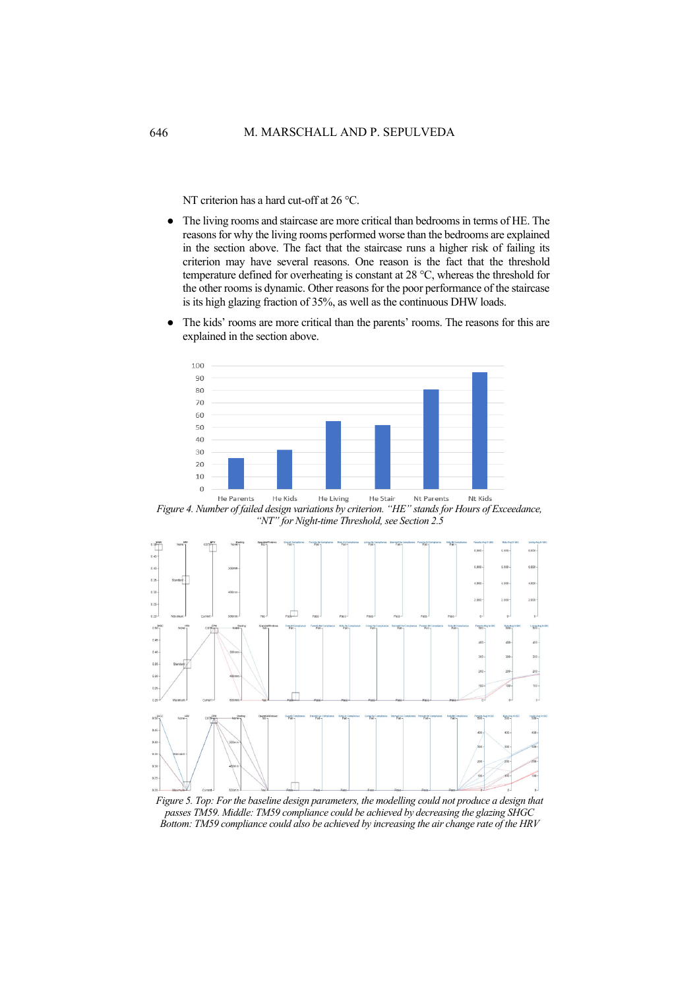NT criterion has a hard cut-off at 26 °C.

- The living rooms and staircase are more critical than bedrooms in terms of HE. The reasons for why the living rooms performed worse than the bedrooms are explained in the section above. The fact that the staircase runs a higher risk of failing its criterion may have several reasons. One reason is the fact that the threshold temperature defined for overheating is constant at 28 °C, whereas the threshold for the other rooms is dynamic. Other reasons for the poor performance of the staircase is its high glazing fraction of 35%, as well as the continuous DHW loads.
- The kids' rooms are more critical than the parents' rooms. The reasons for this are explained in the section above.



*Figure 4. Number of failed design variations by criterion. "HE" stands for Hours of Exceedance, "NT" for Night-time Threshold, see Section 2.5*



*Figure 5. Top: For the baseline design parameters, the modelling could not produce a design that passes TM59. Middle: TM59 compliance could be achieved by decreasing the glazing SHGC Bottom: TM59 compliance could also be achieved by increasing the air change rate of the HRV*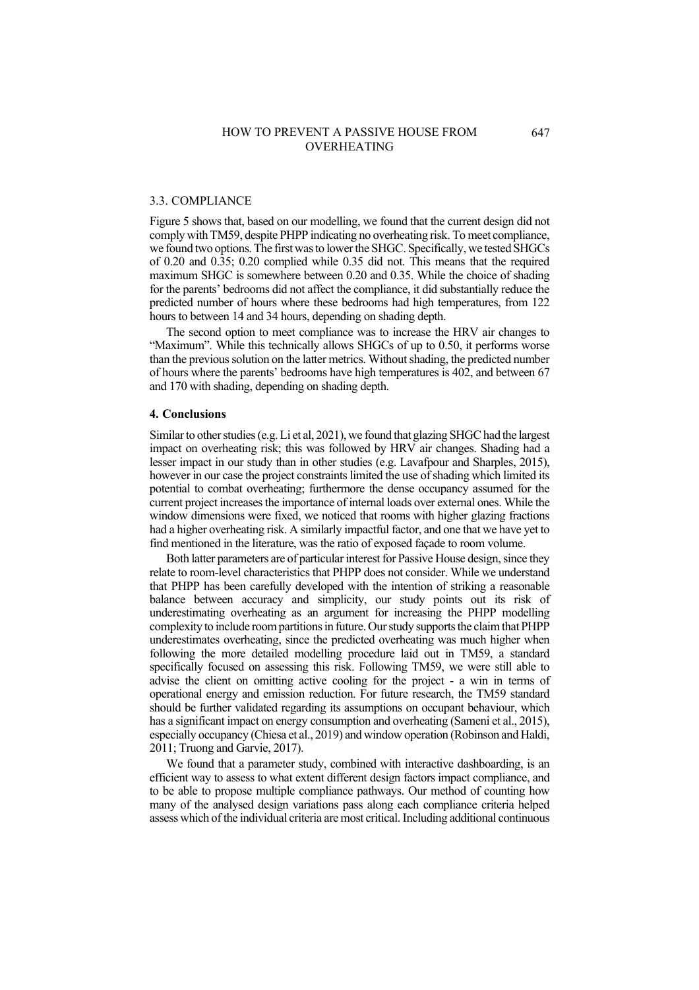### 3.3. COMPLIANCE

Figure 5 shows that, based on our modelling, we found that the current design did not comply with TM59, despite PHPP indicating no overheating risk. To meet compliance, we found two options. The first was to lower the SHGC. Specifically, we tested SHGCs of 0.20 and 0.35; 0.20 complied while 0.35 did not. This means that the required maximum SHGC is somewhere between 0.20 and 0.35. While the choice of shading for the parents' bedrooms did not affect the compliance, it did substantially reduce the predicted number of hours where these bedrooms had high temperatures, from 122 hours to between 14 and 34 hours, depending on shading depth.

The second option to meet compliance was to increase the HRV air changes to "Maximum". While this technically allows SHGCs of up to 0.50, it performs worse than the previous solution on the latter metrics. Without shading, the predicted number of hours where the parents' bedrooms have high temperatures is 402, and between 67 and 170 with shading, depending on shading depth.

#### **4. Conclusions**

Similar to other studies (e.g. Li et al, 2021), we found that glazing SHGC had the largest impact on overheating risk; this was followed by HRV air changes. Shading had a lesser impact in our study than in other studies (e.g. Lavafpour and Sharples, 2015), however in our case the project constraints limited the use of shading which limited its potential to combat overheating; furthermore the dense occupancy assumed for the current project increases the importance of internal loads over external ones. While the window dimensions were fixed, we noticed that rooms with higher glazing fractions had a higher overheating risk. A similarly impactful factor, and one that we have yet to find mentioned in the literature, was the ratio of exposed façade to room volume.

Both latter parameters are of particular interest for Passive House design, since they relate to room-level characteristics that PHPP does not consider. While we understand that PHPP has been carefully developed with the intention of striking a reasonable balance between accuracy and simplicity, our study points out its risk of underestimating overheating as an argument for increasing the PHPP modelling complexity to include room partitions in future.Our study supports the claim that PHPP underestimates overheating, since the predicted overheating was much higher when following the more detailed modelling procedure laid out in TM59, a standard specifically focused on assessing this risk. Following TM59, we were still able to advise the client on omitting active cooling for the project - a win in terms of operational energy and emission reduction. For future research, the TM59 standard should be further validated regarding its assumptions on occupant behaviour, which has a significant impact on energy consumption and overheating (Sameni et al., 2015), especially occupancy (Chiesa et al., 2019) and window operation (Robinson and Haldi, 2011; Truong and Garvie, 2017).

We found that a parameter study, combined with interactive dashboarding, is an efficient way to assess to what extent different design factors impact compliance, and to be able to propose multiple compliance pathways. Our method of counting how many of the analysed design variations pass along each compliance criteria helped assess which of the individual criteria are most critical. Including additional continuous